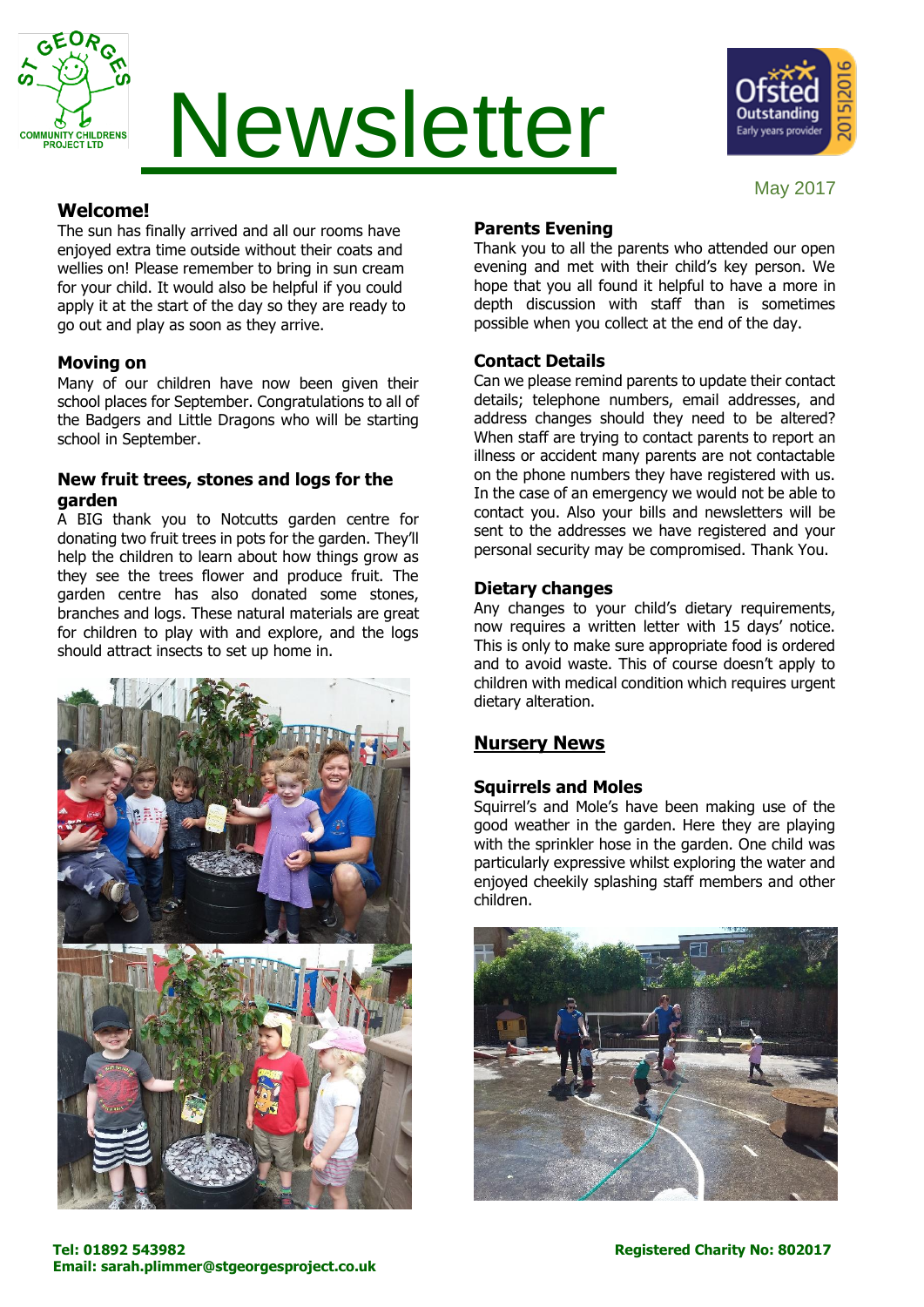

# Newsletter



#### May 2017

# **Welcome!**

The sun has finally arrived and all our rooms have enjoyed extra time outside without their coats and wellies on! Please remember to bring in sun cream for your child. It would also be helpful if you could apply it at the start of the day so they are ready to go out and play as soon as they arrive.

# **Moving on**

Many of our children have now been given their school places for September. Congratulations to all of the Badgers and Little Dragons who will be starting school in September.

#### **New fruit trees, stones and logs for the garden**

A BIG thank you to Notcutts garden centre for donating two fruit trees in pots for the garden. They'll help the children to learn about how things grow as they see the trees flower and produce fruit. The garden centre has also donated some stones, branches and logs. These natural materials are great for children to play with and explore, and the logs should attract insects to set up home in.



# **Parents Evening**

Thank you to all the parents who attended our open evening and met with their child's key person. We hope that you all found it helpful to have a more in depth discussion with staff than is sometimes possible when you collect at the end of the day.

# **Contact Details**

Can we please remind parents to update their contact details; telephone numbers, email addresses, and address changes should they need to be altered? When staff are trying to contact parents to report an illness or accident many parents are not contactable on the phone numbers they have registered with us. In the case of an emergency we would not be able to contact you. Also your bills and newsletters will be sent to the addresses we have registered and your personal security may be compromised. Thank You.

# **Dietary changes**

Any changes to your child's dietary requirements, now requires a written letter with 15 days' notice. This is only to make sure appropriate food is ordered and to avoid waste. This of course doesn't apply to children with medical condition which requires urgent dietary alteration.

# **Nursery News**

# **Squirrels and Moles**

Squirrel's and Mole's have been making use of the good weather in the garden. Here they are playing with the sprinkler hose in the garden. One child was particularly expressive whilst exploring the water and enjoyed cheekily splashing staff members and other children.

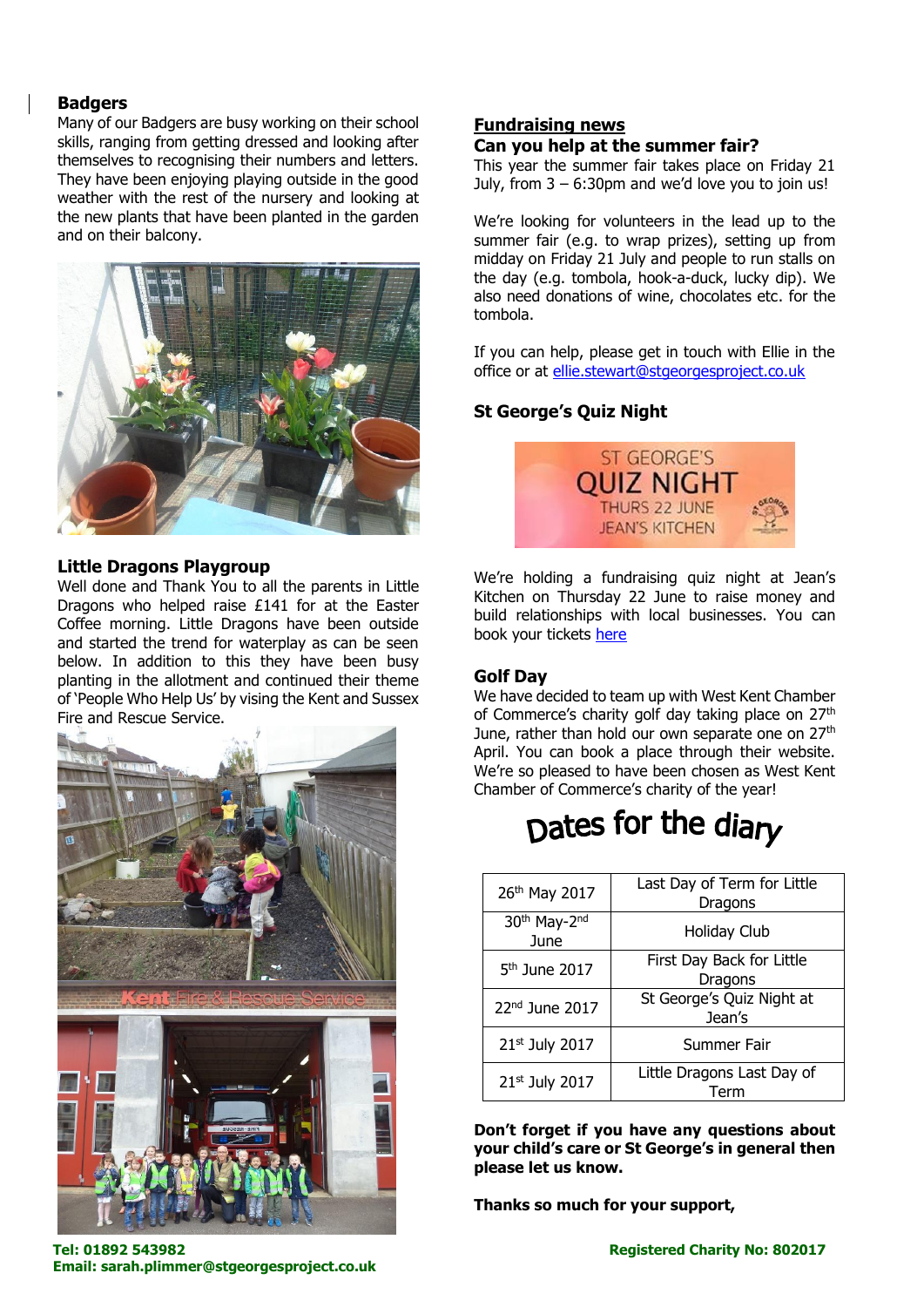#### **Badgers**

Many of our Badgers are busy working on their school skills, ranging from getting dressed and looking after themselves to recognising their numbers and letters. They have been enjoying playing outside in the good weather with the rest of the nursery and looking at the new plants that have been planted in the garden and on their balcony.



#### **Little Dragons Playgroup**

Well done and Thank You to all the parents in Little Dragons who helped raise £141 for at the Easter Coffee morning. Little Dragons have been outside and started the trend for waterplay as can be seen below. In addition to this they have been busy planting in the allotment and continued their theme of 'People Who Help Us' by vising the Kent and Sussex Fire and Rescue Service.



# **Fundraising news**

# **Can you help at the summer fair?**

This year the summer fair takes place on Friday 21 July, from  $3 - 6:30$ pm and we'd love you to join us!

We're looking for volunteers in the lead up to the summer fair (e.g. to wrap prizes), setting up from midday on Friday 21 July and people to run stalls on the day (e.g. tombola, hook-a-duck, lucky dip). We also need donations of wine, chocolates etc. for the tombola.

If you can help, please get in touch with Ellie in the office or at [ellie.stewart@stgeorgesproject.co.uk](mailto:ellie.stewart@stgeorgesproject.co.uk)

# **St George's Quiz Night**



We're holding a fundraising quiz night at Jean's Kitchen on Thursday 22 June to raise money and build relationships with local businesses. You can book your tickets [here](https://www.eventbrite.co.uk/e/st-georges-quiz-night-tickets-33212907701)

#### **Golf Day**

We have decided to team up with West Kent Chamber of Commerce's charity golf day taking place on 27<sup>th</sup> June, rather than hold our own separate one on 27<sup>th</sup> April. You can book a place through their website. We're so pleased to have been chosen as West Kent Chamber of Commerce's charity of the year!

# Dates for the diary

| 26th May 2017             | Last Day of Term for Little<br>Dragons |
|---------------------------|----------------------------------------|
| 30th May-2nd<br>June      | <b>Holiday Club</b>                    |
| 5 <sup>th</sup> June 2017 | First Day Back for Little<br>Dragons   |
| 22nd June 2017            | St George's Quiz Night at<br>Jean's    |
| 21st July 2017            | Summer Fair                            |
| 21st July 2017            | Little Dragons Last Day of<br>Term     |

**Don't forget if you have any questions about your child's care or St George's in general then please let us know.** 

**Thanks so much for your support,** 

**Tel: 01892 543982 Registered Charity No: 802017 Email: sarah.plimmer@stgeorgesproject.co.uk**